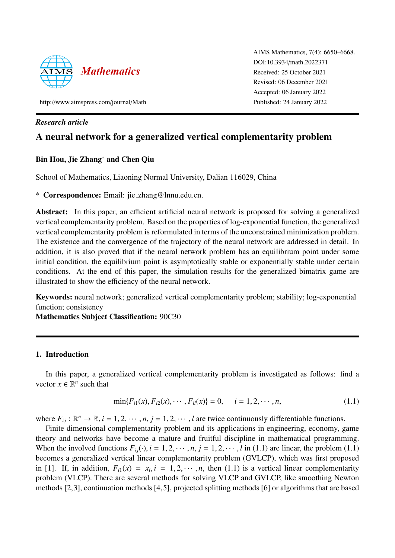

AIMS Mathematics, 7(4): 6650–6668. DOI:10.3934/[math.2022371](http://dx.doi.org/10.3934/math.2022371) Received: 25 October 2021 Revised: 06 December 2021 Accepted: 06 January 2022 Published: 24 January 2022

http://[www.aimspress.com](http://www.aimspress.com/journal/Math)/journal/Math

# *Research article*

# A neural network for a generalized vertical complementarity problem

# Bin Hou, Jie Zhang<sup>∗</sup> and Chen Qiu

School of Mathematics, Liaoning Normal University, Dalian 116029, China

\* Correspondence: Email: jie zhang@lnnu.edu.cn.

Abstract: In this paper, an efficient artificial neural network is proposed for solving a generalized vertical complementarity problem. Based on the properties of log-exponential function, the generalized vertical complementarity problem is reformulated in terms of the unconstrained minimization problem. The existence and the convergence of the trajectory of the neural network are addressed in detail. In addition, it is also proved that if the neural network problem has an equilibrium point under some initial condition, the equilibrium point is asymptotically stable or exponentially stable under certain conditions. At the end of this paper, the simulation results for the generalized bimatrix game are illustrated to show the efficiency of the neural network.

Keywords: neural network; generalized vertical complementarity problem; stability; log-exponential function; consistency

Mathematics Subject Classification: 90C30

# 1. Introduction

In this paper, a generalized vertical complementarity problem is investigated as follows: find a vector  $x \in \mathbb{R}^n$  such that

<span id="page-0-0"></span>
$$
\min\{F_{i1}(x), F_{i2}(x), \cdots, F_{il}(x)\} = 0, \quad i = 1, 2, \cdots, n,
$$
\n(1.1)

where  $F_{ij} : \mathbb{R}^n \to \mathbb{R}$ ,  $i = 1, 2, \dots, n, j = 1, 2, \dots, l$  are twice continuously differentiable functions.<br>Finite dimensional complementarity problem and its applications in engineering economy of

Finite dimensional complementarity problem and its applications in engineering, economy, game theory and networks have become a mature and fruitful discipline in mathematical programming. When the involved functions  $F_{ij}(\cdot)$ ,  $i = 1, 2, \dots, n$ ,  $j = 1, 2, \dots, l$  in [\(1.1\)](#page-0-0) are linear, the problem (1.1) becomes a generalized vertical linear complementarity problem (GVLCP), which was first proposed in [\[1\]](#page-15-0). If, in addition,  $F_{i1}(x) = x_i$ ,  $i = 1, 2, \dots, n$ , then [\(1.1\)](#page-0-0) is a vertical linear complementarity<br>problem (VI CP). There are several methods for solving VI CP and GVI CP like smoothing Newton problem (VLCP). There are several methods for solving VLCP and GVLCP, like smoothing Newton methods [\[2,](#page-15-1)[3\]](#page-15-2), continuation methods [\[4,](#page-15-3)[5\]](#page-15-4), projected splitting methods [\[6\]](#page-15-5) or algorithms that are based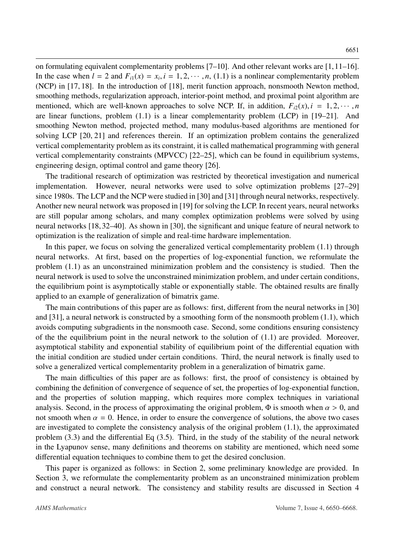on formulating equivalent complementarity problems [\[7–](#page-15-6)[10\]](#page-15-7). And other relevant works are [\[1,](#page-15-0)[11](#page-15-8)[–16\]](#page-16-0). In the case when  $l = 2$  and  $F_{i1}(x) = x_i$ ,  $i = 1, 2, \dots, n$ , [\(1.1\)](#page-0-0) is a nonlinear complementarity problem (NCP) in [17, 18]. In the introduction of [18], merit function approach nonsmooth Newton method (NCP) in [\[17,](#page-16-1) [18\]](#page-16-2). In the introduction of [\[18\]](#page-16-2), merit function approach, nonsmooth Newton method, smoothing methods, regularization approach, interior-point method, and proximal point algorithm are mentioned, which are well-known approaches to solve NCP. If, in addition,  $F_{i2}(x)$ ,  $i = 1, 2, \dots, n$ are linear functions, problem [\(1.1\)](#page-0-0) is a linear complementarity problem (LCP) in [\[19–](#page-16-3)[21\]](#page-16-4). And smoothing Newton method, projected method, many modulus-based algorithms are mentioned for solving LCP [\[20,](#page-16-5) [21\]](#page-16-4) and references therein. If an optimization problem contains the generalized vertical complementarity problem as its constraint, it is called mathematical programming with general vertical complementarity constraints (MPVCC) [\[22–](#page-16-6)[25\]](#page-16-7), which can be found in equilibrium systems, engineering design, optimal control and game theory [\[26\]](#page-16-8).

The traditional research of optimization was restricted by theoretical investigation and numerical implementation. However, neural networks were used to solve optimization problems [\[27](#page-16-9)[–29\]](#page-17-0) since 1980s. The LCP and the NCP were studied in [\[30\]](#page-17-1) and [\[31\]](#page-17-2) through neural networks, respectively. Another new neural network was proposed in [\[19\]](#page-16-3) for solving the LCP. In recent years, neural networks are still popular among scholars, and many complex optimization problems were solved by using neural networks [\[18,](#page-16-2)[32–](#page-17-3)[40\]](#page-17-4). As shown in [\[30\]](#page-17-1), the significant and unique feature of neural network to optimization is the realization of simple and real-time hardware implementation.

In this paper, we focus on solving the generalized vertical complementarity problem [\(1.1\)](#page-0-0) through neural networks. At first, based on the properties of log-exponential function, we reformulate the problem [\(1.1\)](#page-0-0) as an unconstrained minimization problem and the consistency is studied. Then the neural network is used to solve the unconstrained minimization problem, and under certain conditions, the equilibrium point is asymptotically stable or exponentially stable. The obtained results are finally applied to an example of generalization of bimatrix game.

The main contributions of this paper are as follows: first, different from the neural networks in [\[30\]](#page-17-1) and [\[31\]](#page-17-2), a neural network is constructed by a smoothing form of the nonsmooth problem [\(1.1\)](#page-0-0), which avoids computing subgradients in the nonsmooth case. Second, some conditions ensuring consistency of the the equilibrium point in the neural network to the solution of  $(1.1)$  are provided. Moreover, asymptotical stability and exponential stability of equilibrium point of the differential equation with the initial condition are studied under certain conditions. Third, the neural network is finally used to solve a generalized vertical complementarity problem in a generalization of bimatrix game.

The main difficulties of this paper are as follows: first, the proof of consistency is obtained by combining the definition of convergence of sequence of set, the properties of log-exponential function, and the properties of solution mapping, which requires more complex techniques in variational analysis. Second, in the process of approximating the original problem,  $\Phi$  is smooth when  $\alpha > 0$ , and not smooth when  $\alpha = 0$ . Hence, in order to ensure the convergence of solutions, the above two cases are investigated to complete the consistency analysis of the original problem [\(1.1\)](#page-0-0), the approximated problem [\(3.3\)](#page-4-0) and the differential Eq [\(3.5\)](#page-4-1). Third, in the study of the stability of the neural network in the Lyapunov sense, many definitions and theorems on stability are mentioned, which need some differential equation techniques to combine them to get the desired conclusion.

This paper is organized as follows: in Section 2, some preliminary knowledge are provided. In Section 3, we reformulate the complementarity problem as an unconstrained minimization problem and construct a neural network. The consistency and stability results are discussed in Section 4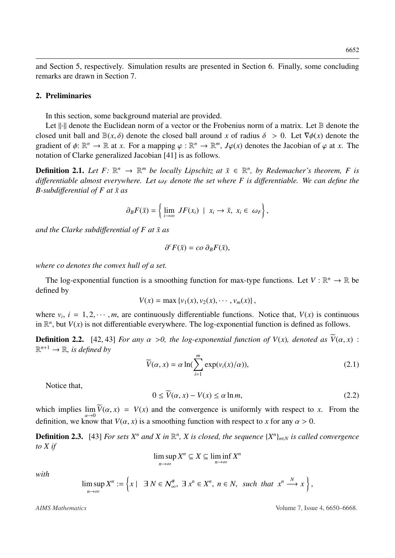and Section 5, respectively. Simulation results are presented in Section 6. Finally, some concluding remarks are drawn in Section 7.

#### 2. Preliminaries

In this section, some background material are provided.

Let  $\left\Vert \cdot\right\Vert$  denote the Euclidean norm of a vector or the Frobenius norm of a matrix. Let  $\mathbb B$  denote the closed unit ball and  $\mathbb{B}(x, \delta)$  denote the closed ball around x of radius  $\delta > 0$ . Let  $\nabla \phi(x)$  denote the gradient of  $\phi: \mathbb{R}^n \to \mathbb{R}$  at *x*. For a mapping  $\phi: \mathbb{R}^n \to \mathbb{R}^m$ ,  $J\phi(x)$  denotes the Jacobian of  $\phi$  at *x*. The notation of Clarke generalized Jacobian [411] is as follows notation of Clarke generalized Jacobian [\[41\]](#page-17-5) is as follows.

<span id="page-2-1"></span>**Definition 2.1.** Let  $F: \mathbb{R}^n \to \mathbb{R}^m$  be locally Lipschitz at  $\bar{x} \in \mathbb{R}^n$ , by Redemacher's theorem, F is *differentiable almost everywhere. Let*  $\omega_F$  *denote the set where F is differentiable. We can define the B*-subdifferential of  $F$  at  $\bar{x}$  as

$$
\partial_B F(\bar{x}) = \left\{ \lim_{i \to \infty} JF(x_i) \mid x_i \to \bar{x}, x_i \in \omega_F \right\},\
$$

*and the Clarke subdifferential of F at*  $\bar{x}$  *as* 

$$
\partial^c F(\bar{x}) = co \ \partial_B F(\bar{x}),
$$

*where co denotes the convex hull of a set.*

The log-exponential function is a smoothing function for max-type functions. Let  $V : \mathbb{R}^n \to \mathbb{R}$  be defined by

$$
V(x) = \max \{v_1(x), v_2(x), \cdots, v_m(x)\},\,
$$

where  $v_i$ ,  $i = 1, 2, \dots, m$ , are continuously differentiable functions. Notice that,  $V(x)$  is continuous<br>in  $\mathbb{R}^n$  but  $V(x)$  is not differentiable everywhere. The log exponential function is defined as follows in  $\mathbb{R}^n$ , but  $V(x)$  is not differentiable everywhere. The log-exponential function is defined as follows.

**Definition 2.2.** [\[42,](#page-17-6) [43\]](#page-18-0) *For any*  $\alpha > 0$ *, the log-exponential function of V(x), denoted as*  $\widetilde{V}(\alpha, x)$  :  $\mathbb{R}^{n+1} \to \mathbb{R}$ *, is defined by* 

$$
\widetilde{V}(\alpha, x) = \alpha \ln(\sum_{i=1}^{m} \exp(v_i(x)/\alpha)), \tag{2.1}
$$

Notice that,

<span id="page-2-0"></span>
$$
0 \le V(\alpha, x) - V(x) \le \alpha \ln m,\tag{2.2}
$$

which implies  $\lim_{\alpha \to 0} V(\alpha, x) = V(x)$  and the convergence is uniformly with respect to *x*. From the definition, we know that  $V(\alpha, x)$  is a smoothing function with respect to *x* for any  $\alpha > 0$ .

**Definition 2.3.** [\[43\]](#page-18-0) *For sets*  $X^n$  *and*  $X$  *in*  $\mathbb{R}^n$ ,  $X$  *is closed, the sequence*  $\{X^n\}_{n\in\mathbb{N}}$  *is called convergence to X if*

$$
\limsup_{n\to\infty}X^n\subseteq X\subseteq \liminf_{n\to\infty}X^n
$$

*with*

$$
\limsup_{n\to\infty} X^n := \left\{ x \mid \exists N \in \mathcal{N}_{\infty}^{\#}, \exists x^n \in X^n, n \in N, \text{ such that } x^n \stackrel{N}{\longrightarrow} x \right\},\
$$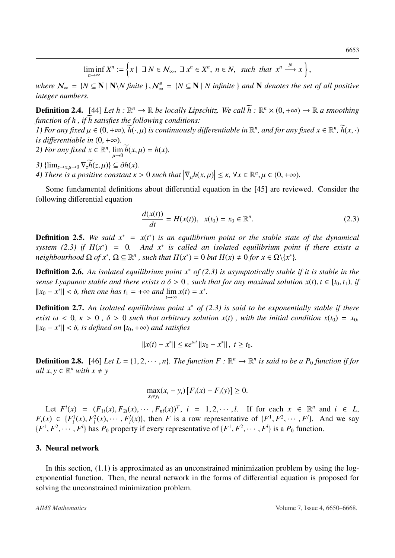$$
\liminf_{n\to\infty}X^n:=\left\{x\mid \exists\ N\in\mathcal{N}_{\infty},\ \exists\ x^n\in X^n,\ n\in\mathcal{N},\ \text{such that}\ x^n\stackrel{N}{\longrightarrow}x\right\},
$$

*where*  $N_{\infty} = \{N \subseteq \mathbb{N} \mid \mathbb{N} \setminus N \text{ finite } \}, \mathcal{N}_{\infty}^{\#} = \{N \subseteq \mathbb{N} \mid N \text{ infinite } \}$  and  $\mathbb{N}$  denotes the set of all positive integer numbers *integer numbers.*

<span id="page-3-1"></span>**Definition 2.4.** [\[44\]](#page-18-1) *Let h* :  $\mathbb{R}^n \to \mathbb{R}$  *be locally Lipschitz. We call*  $\widetilde{h}$  :  $\mathbb{R}^n \times (0, +\infty) \to \mathbb{R}$  *a smoothing*<br>*function of h* if  $\widetilde{h}$  satisfies the following conditions: *function of h, if*  $\overline{h}$  satisfies the following conditions:

*1*) For any fixed  $\mu \in (0, +\infty)$ ,  $\widetilde{h}(\cdot, \mu)$  is continuously differentiable in  $\mathbb{R}^n$ , and for any fixed  $x \in \mathbb{R}^n$ ,  $\widetilde{h}(x, \cdot)$  is differentiable in  $(0, +\infty)$ *is differentiable in*  $(0, +\infty)$ *.* 

2) For any fixed 
$$
x \in \mathbb{R}^n
$$
,  $\lim_{\mu \to 0} \widetilde{h}(x,\mu) = h(x)$ .

*3*) { $\lim_{z \to x, \mu \to 0} \nabla_z h(z, \mu)$ }  $\subseteq \partial h(x)$ *.*<br>*A) There* is a positive constant  $\kappa$ 

*4*) There is a positive constant  $\kappa > 0$  such that  $\left|\nabla_{\mu}h(x,\mu)\right| \leq \kappa$ ,  $\forall x \in \mathbb{R}^n, \mu \in (0, +\infty)$ .

Some fundamental definitions about differential equation in the [\[45\]](#page-18-2) are reviewed. Consider the following differential equation

<span id="page-3-0"></span>
$$
\frac{d(x(t))}{dt} = H(x(t)), \ \ x(t_0) = x_0 \in \mathbb{R}^n.
$$
 (2.3)

**Definition 2.5.** We said  $x^* = x(t^*)$  is an equilibrium point or the stable state of the dynamical *system* [\(2.3\)](#page-3-0) if  $H(x^*) = 0$ . And  $x^*$  is called an isolated equilibrium point if there exists a *neighbourhood*  $\Omega$  *of*  $x^*$ ,  $\Omega \subseteq \mathbb{R}^n$ , *such that*  $H(x^*) = 0$  *but*  $H(x) \neq 0$  *for*  $x \in \Omega \setminus \{x^*\}$ *.* 

Definition 2.6. *An isolated equilibrium point x*<sup>∗</sup> *of [\(2.3\)](#page-3-0) is asymptotically stable if it is stable in the sense Lyapunov stable and there exists a*  $\delta > 0$ , *such that for any maximal solution x(t), t*  $\in$  [ $t_0, t_1$ *), if*  $||x_0 - x^*|| < \delta$ , then one has  $t_1 = +\infty$  and  $\lim_{t \to \infty} x(t) = x^*$ .

Definition 2.7. *An isolated equilibrium point x*<sup>∗</sup> *of [\(2.3\)](#page-3-0) is said to be exponentially stable if there exist*  $\omega < 0$ ,  $\kappa > 0$ ,  $\delta > 0$  *such that arbitrary solution x(t)*, with the initial condition  $x(t_0) = x_0$ ,  $||x<sub>0</sub> - x<sup>*</sup>|| < δ$ , *is defined on* [*t*<sub>0</sub>, +∞) *and satisfies* 

$$
||x(t) - x^*|| \le \kappa e^{\omega t} ||x_0 - x^*||, \ t \ge t_0.
$$

**Definition 2.8.** [\[46\]](#page-18-3) *Let*  $L = \{1, 2, \dots, n\}$ *. The function*  $F : \mathbb{R}^n \to \mathbb{R}^n$  is said to be a  $P_0$  function if for  $all \times \mathbb{R} \times \mathbb{R}^n$  with  $x \neq y$ .  $all x, y \in \mathbb{R}^n$  *with*  $x \neq y$ 

$$
\max_{x_i \neq y_i} (x_i - y_i) [F_i(x) - F_i(y)] \geq 0.
$$

Let  $F^i(x) = (F_{1i}(x), F_{2i}(x), \cdots, F_{ni}(x))^T$ ,  $i = 1, 2, \cdots, l$ . If for each  $x \in \mathbb{R}^n$  and  $i \in L$ ,<br>  $x \in F^1(x)$ ,  $F^2(x)$ ,  $\cdots$ ,  $F^l(x)$  then  $F$  is a row representative of  $[F^1, F^2, \cdots, F^l]$ . And we say  $F_i(x) \in \{F_i^1(x), F_i^2(x), \dots, F_i^l(x)\}\$ , then F is a row representative of  $\{F^1, F^2, \dots, F^l\}$ . And we say  $\{F^1, F^2, \dots, F^l\}$  has  $P_0$  property if every representative of  $\{F^1, F^2, \dots, F^l\}$  is a  $P_0$  function.

#### 3. Neural network

In this section,  $(1.1)$  is approximated as an unconstrained minimization problem by using the logexponential function. Then, the neural network in the forms of differential equation is proposed for solving the unconstrained minimization problem.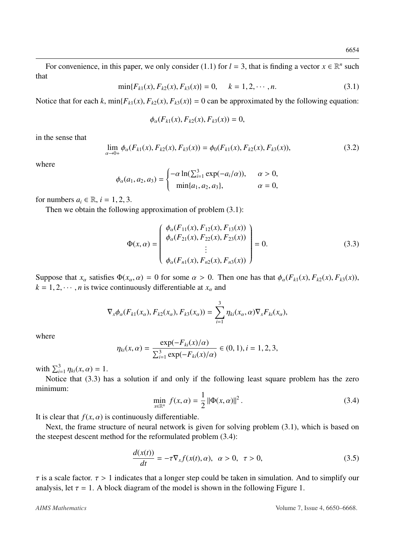For convenience, in this paper, we only consider [\(1.1\)](#page-0-0) for  $l = 3$ , that is finding a vector  $x \in \mathbb{R}^n$  such that

<span id="page-4-2"></span>
$$
\min\{F_{k1}(x), F_{k2}(x), F_{k3}(x)\} = 0, \quad k = 1, 2, \cdots, n. \tag{3.1}
$$

Notice that for each *k*,  $\min\{F_{k1}(x), F_{k2}(x), F_{k3}(x)\} = 0$  can be approximated by the following equation:

$$
\phi_{\alpha}(F_{k1}(x), F_{k2}(x), F_{k3}(x)) = 0,
$$

in the sense that

$$
\lim_{\alpha \to 0+} \phi_{\alpha}(F_{k1}(x), F_{k2}(x), F_{k3}(x)) = \phi_0(F_{k1}(x), F_{k2}(x), F_{k3}(x)),
$$
\n(3.2)

where

$$
\phi_{\alpha}(a_1, a_2, a_3) = \begin{cases}\n-\alpha \ln(\sum_{i=1}^3 \exp(-a_i/\alpha)), & \alpha > 0, \\
\min\{a_1, a_2, a_3\}, & \alpha = 0,\n\end{cases}
$$

for numbers  $a_i \in \mathbb{R}$ ,  $i = 1, 2, 3$ .

Then we obtain the following approximation of problem  $(3.1)$ :

<span id="page-4-0"></span>
$$
\Phi(x,\alpha) = \begin{pmatrix} \phi_{\alpha}(F_{11}(x), F_{12}(x), F_{13}(x)) \\ \phi_{\alpha}(F_{21}(x), F_{22}(x), F_{23}(x)) \\ \vdots \\ \phi_{\alpha}(F_{n1}(x), F_{n2}(x), F_{n3}(x)) \end{pmatrix} = 0.
$$
\n(3.3)

Suppose that  $x_\alpha$  satisfies  $\Phi(x_\alpha, \alpha) = 0$  for some  $\alpha > 0$ . Then one has that  $\phi_\alpha(F_{k1}(x), F_{k2}(x), F_{k3}(x))$ ,  $k = 1, 2, \dots, n$  is twice continuously differentiable at  $x_\alpha$  and

$$
\nabla_x \phi_\alpha(F_{k1}(x_\alpha), F_{k2}(x_\alpha), F_{k3}(x_\alpha)) = \sum_{i=1}^3 \eta_{ki}(x_\alpha, \alpha) \nabla_x F_{ki}(x_\alpha),
$$

where

$$
\eta_{ki}(x,\alpha) = \frac{\exp(-F_{ki}(x)/\alpha)}{\sum_{i=1}^3 \exp(-F_{ki}(x)/\alpha)} \in (0,1), i = 1,2,3,
$$

with  $\sum_{i=1}^{3} \eta_{ki}(x, \alpha) = 1$ .<br>Notice that (3.3) by

Notice that [\(3.3\)](#page-4-0) has a solution if and only if the following least square problem has the zero minimum:

<span id="page-4-3"></span>
$$
\min_{x \in \mathbb{R}^n} f(x, \alpha) = \frac{1}{2} ||\Phi(x, \alpha)||^2.
$$
 (3.4)

It is clear that  $f(x, \alpha)$  is continuously differentiable.

Next, the frame structure of neural network is given for solving problem [\(3.1\)](#page-4-2), which is based on the steepest descent method for the reformulated problem [\(3.4\)](#page-4-3):

<span id="page-4-1"></span>
$$
\frac{d(x(t))}{dt} = -\tau \nabla_x f(x(t), \alpha), \ \alpha > 0, \ \tau > 0,
$$
\n(3.5)

 $\tau$  is a scale factor.  $\tau > 1$  indicates that a longer step could be taken in simulation. And to simplify our analysis, let  $\tau = 1$ . A block diagram of the model is shown in the following Figure 1.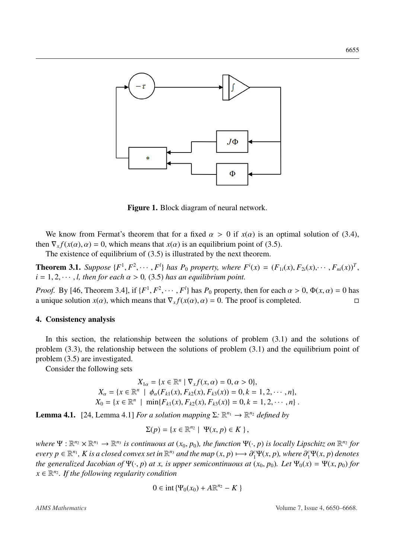

Figure 1. Block diagram of neural network.

We know from Fermat's theorem that for a fixed  $\alpha > 0$  if  $x(\alpha)$  is an optimal solution of [\(3.4\)](#page-4-3), then  $\nabla_x f(x(\alpha), \alpha) = 0$ , which means that  $x(\alpha)$  is an equilibrium point of [\(3.5\)](#page-4-1).<br>The existence of equilibrium of (3.5) is illustrated by the next theorem

The existence of equilibrium of [\(3.5\)](#page-4-1) is illustrated by the next theorem.

**Theorem 3.1.** Suppose  $\{F^1, F^2, \dots, F^l\}$  has  $P_0$  property, where  $F^i(x) = (F_{1i}(x), F_{2i}(x), \dots, F_{ni}(x))^T$ ,<br> $i = 1, 2, \dots, l$  then for each  $\alpha > 0$  (3.5) has an equilibrium point  $i = 1, 2, \dots, l$ , then for each  $\alpha > 0$ , [\(3.5\)](#page-4-1) has an equilibrium point.

*Proof.* By [\[46,](#page-18-3) Theorem 3.4], if  $\{F^1, F^2, \dots, F^l\}$  has  $P_0$  property, then for each  $\alpha > 0$ ,  $\Phi(x, \alpha) = 0$  has a unique solution *x*( $\alpha$ ), which means that  $\nabla_x f(x(\alpha), \alpha) = 0$ . The proof is completed.

#### 4. Consistency analysis

In this section, the relationship between the solutions of problem [\(3.1\)](#page-4-2) and the solutions of problem [\(3.3\)](#page-4-0), the relationship between the solutions of problem [\(3.1\)](#page-4-2) and the equilibrium point of problem [\(3.5\)](#page-4-1) are investigated.

Consider the following sets

$$
X_{1\alpha} = \{x \in \mathbb{R}^n \mid \nabla_x f(x, \alpha) = 0, \alpha > 0\},
$$
  
\n
$$
X_{\alpha} = \{x \in \mathbb{R}^n \mid \phi_{\alpha}(F_{k1}(x), F_{k2}(x), F_{k3}(x)) = 0, k = 1, 2, \cdots, n\},
$$
  
\n
$$
X_0 = \{x \in \mathbb{R}^n \mid \min\{F_{k1}(x), F_{k2}(x), F_{k3}(x)\} = 0, k = 1, 2, \cdots, n\}.
$$

<span id="page-5-0"></span>**Lemma 4.1.** [\[24,](#page-16-10) Lemma 4.1] *For a solution mapping* Σ:  $\mathbb{R}^{n_1}$  →  $\mathbb{R}^{n_2}$  *defined by* 

$$
\Sigma(p) = \{x \in \mathbb{R}^{n_2} \mid \Psi(x, p) \in K\},\
$$

*where*  $\Psi : \mathbb{R}^{n_2} \times \mathbb{R}^{n_1} \to \mathbb{R}^{n_3}$  *is continuous at*  $(x_0, p_0)$ *, the function*  $\Psi(\cdot, p)$  *is locally Lipschitz on*  $\mathbb{R}^{n_2}$  *for gyary*  $p \in \mathbb{R}^{n_1}$  *K* is a closed comex set in  $\mathbb{R}^{n_3}$   $e^{i\varphi}$   $p \in \mathbb{R}^{n_1}$ , K is a closed convex set in  $\mathbb{R}^{n_3}$  and the map  $(x, p) \mapsto \partial_1^c \Psi(x, p)$ , where  $\partial_1^c \Psi(x, p)$  denotes the generalized *Iscobian of*  $\Psi(x, p)$  at x is upper semicontinuous at  $(x, p_1)$ , *I et the generalized Jacobian of*  $\Psi(\cdot, p)$  *at x, is upper semicontinuous at*  $(x_0, p_0)$ *. Let*  $\Psi_0(x) = \Psi(x, p_0)$  *for*  $x \in \mathbb{R}^{n_2}$ . If the following regularity condition

$$
0\in\operatorname{int}\left\{\Psi_0(x_0)+A\mathbb{R}^{n_2}-K\right\}
$$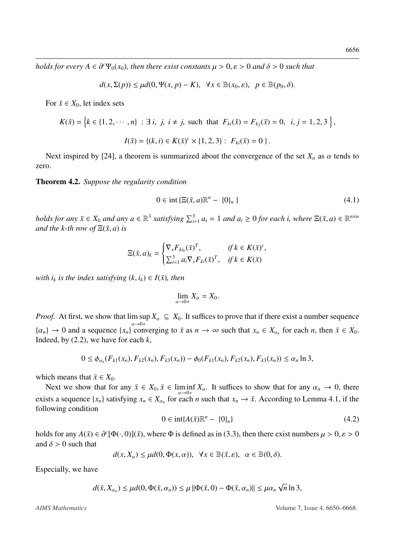*holds for every*  $A \in \partial^c \Psi_0(x_0)$ *, then there exist constants*  $\mu > 0$ *,*  $\varepsilon > 0$  *and*  $\delta > 0$  *such that* 

$$
d(x, \Sigma(p)) \le \mu d(0, \Psi(x, p) - K), \ \ \forall x \in \mathbb{B}(x_0, \varepsilon), \ \ p \in \mathbb{B}(p_0, \delta).
$$

For  $\bar{x} \in X_0$ , let index sets

$$
K(\bar{x}) = \left\{ k \in \{1, 2, \dots, n\} : \exists i, j, i \neq j, \text{ such that } F_{ki}(\bar{x}) = F_{kj}(\bar{x}) = 0, i, j = 1, 2, 3 \right\},\
$$

$$
I(\bar{x}) = \left\{ (k, i) \in K(\bar{x})^c \times \{1, 2, 3\} : F_{ki}(\bar{x}) = 0 \right\}.
$$

Next inspired by [\[24\]](#page-16-10), a theorem is summarized about the convergence of the set  $X_\alpha$  as  $\alpha$  tends to zero.

<span id="page-6-2"></span>Theorem 4.2. *Suppose the regularity condition*

<span id="page-6-1"></span>
$$
0 \in \text{int} \{ \Xi(\bar{x}, a) \mathbb{R}^n - \{0\}_n \}
$$
\n(4.1)

*holds for any*  $\bar{x} \in X_0$  *and any*  $a \in \mathbb{R}^3$  *satisfying*  $\sum_{i=1}^3 a_i = 1$  *and*  $a_i \ge 0$  *for each i, where*  $\Xi(\bar{x}, a) \in \mathbb{R}^{n \times n}$ <br>*and the k th row of*  $\Xi(\bar{x}, a)$  *is and the k-th row of*  $\Xi(\bar{x}, a)$  *is* 

$$
\Xi(\bar{x}, a)_k = \begin{cases} \nabla_x F_{ki_k}(\bar{x})^T, & \text{if } k \in K(\bar{x})^c, \\ \sum_{i=1}^3 a_i \nabla_x F_{ki}(\bar{x})^T, & \text{if } k \in K(\bar{x}) \end{cases}
$$

*with*  $i_k$  *is the index satisfying*  $(k, i_k) \in I(\bar{x})$ *, then* 

$$
\lim_{\alpha \to 0+} X_{\alpha} = X_0.
$$

*Proof.* At first, we show that  $\limsup_{\alpha \to 0+} X_{\alpha} \subseteq X_0$ . It suffices to prove that if there exist a number sequence  $\{\alpha_n\} \to 0$  and a sequence  $\{x_n\}$  converging to  $\bar{x}$  as  $n \to \infty$  such that  $x_n \in X_{\alpha_n}$  for each *n*, then  $\bar{x} \in X_0$ .<br>Indeed by (2.2) we have for each *k* Indeed, by [\(2.2\)](#page-2-0), we have for each *k*,

$$
0 \leq \phi_{\alpha_n}(F_{k1}(x_n), F_{k2}(x_n), F_{k3}(x_n)) - \phi_0(F_{k1}(x_n), F_{k2}(x_n), F_{k3}(x_n)) \leq \alpha_n \ln 3,
$$

which means that  $\bar{x} \in X_0$ .

Next we show that for any  $\bar{x} \in X_0$ ,  $\bar{x} \in \liminf_{\alpha \to 0^+} X_\alpha$ . It suffices to show that for any  $\alpha_n \to 0$ , there exists a sequence  $\{x_n\}$  satisfying  $x_n \in X_{\alpha_n}$  for each *n* such that  $x_n \to \bar{x}$ . According to Lemma [4.1,](#page-5-0) if the following condition

<span id="page-6-0"></span>
$$
0 \in \text{int}\{A(\bar{x})\mathbb{R}^n - \{0\}_n\} \tag{4.2}
$$

holds for any  $A(\bar{x}) \in \partial^c[\Phi(\cdot, 0)](\bar{x})$ , where  $\Phi$  is defined as in [\(3.3\)](#page-4-0), then there exist numbers  $\mu > 0$ ,  $\varepsilon > 0$ and  $\delta > 0$  such that

$$
d(x, X_{\alpha}) \leq \mu d(0, \Phi(x, \alpha)), \ \forall x \in \mathbb{B}(\bar{x}, \varepsilon), \ \alpha \in \mathbb{B}(0, \delta).
$$

Especially, we have

$$
d(\bar{x}, X_{\alpha_n}) \leq \mu d(0, \Phi(\bar{x}, \alpha_n)) \leq \mu \|\Phi(\bar{x}, 0) - \Phi(\bar{x}, \alpha_n)\| \leq \mu \alpha_n \sqrt{n} \ln 3,
$$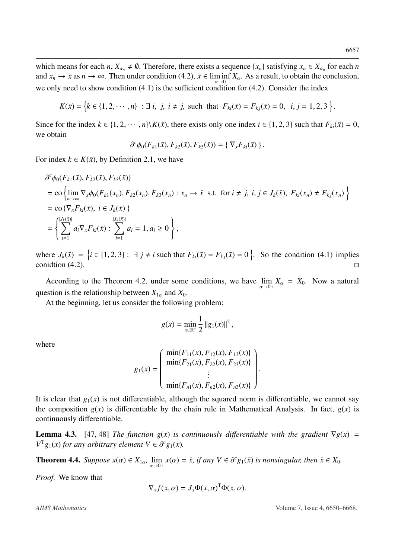which means for each *n*,  $X_{\alpha_n} \neq \emptyset$ . Therefore, there exists a sequence  $\{x_n\}$  satisfying  $x_n \in X_{\alpha_n}$  for each *n* and  $x_n \to \bar{x}$  as  $n \to \infty$ . Then under condition [\(4.2\)](#page-6-0),  $\bar{x} \in \liminf_{\alpha \to 0} X_\alpha$ . As a result, to obtain the conclusion, we only need to show condition [\(4.1\)](#page-6-1) is the sufficient condition for [\(4.2\)](#page-6-0). Consider the index

$$
K(\bar{x}) = \left\{ k \in \{1, 2, \cdots, n\} : \exists i, j, i \neq j, \text{ such that } F_{ki}(\bar{x}) = F_{kj}(\bar{x}) = 0, i, j = 1, 2, 3 \right\}.
$$

Since for the index  $k \in \{1, 2, \dots, n\} \setminus K(\bar{x})$ , there exists only one index  $i \in \{1, 2, 3\}$  such that  $F_{ki}(\bar{x}) = 0$ , we obtain

$$
\partial^{c}\phi_{0}(F_{k1}(\bar{x}), F_{k2}(\bar{x}), F_{k3}(\bar{x})) = \{ \nabla_{x}F_{ki}(\bar{x}) \}.
$$

For index  $k \in K(\bar{x})$ , by Definition [2.1,](#page-2-1) we have

$$
\partial^c \phi_0(F_{k1}(\bar{x}), F_{k2}(\bar{x}), F_{k3}(\bar{x}))
$$
\n
$$
= \cos \left\{ \lim_{n \to \infty} \nabla_x \phi_0(F_{k1}(x_n), F_{k2}(x_n), F_{k3}(x_n) : x_n \to \bar{x} \text{ s.t. for } i \neq j, i, j \in J_k(\bar{x}), F_{ki}(x_n) \neq F_{kj}(x_n) \right\}
$$
\n
$$
= \cos \left\{ \nabla_x F_{ki}(\bar{x}), i \in J_k(\bar{x}) \right\}
$$
\n
$$
= \left\{ \sum_{i=1}^{|J_k(\bar{x})|} a_i \nabla_x F_{ki}(\bar{x}) : \sum_{i=1}^{|J_k(\bar{x})|} a_i = 1, a_i \ge 0 \right\},
$$

where  $J_k(\bar{x}) = \{i \in \{1, 2, 3\} : \exists j \neq i \text{ such that } F_{ki}(\bar{x}) = F_{kj}(\bar{x}) = 0\}$ . So the condition [\(4.1\)](#page-6-1) implies conidtion  $(4.2)$ .

According to the Theorem [4.2,](#page-6-2) under some conditions, we have lim  $\lim_{\alpha \to 0+} X_{\alpha} = X_0$ . Now a natural question is the relationship between  $X_{1\alpha}$  and  $X_0$ .

At the beginning, let us consider the following problem:

$$
g(x) = \min_{x \in \mathbb{R}^n} \frac{1}{2} ||g_1(x)||^2,
$$

where

$$
g_1(x) = \begin{pmatrix} \min\{F_{11}(x), F_{12}(x), F_{13}(x)\} \\ \min\{F_{21}(x), F_{22}(x), F_{23}(x)\} \\ \vdots \\ \min\{F_{n1}(x), F_{n2}(x), F_{n3}(x)\} \end{pmatrix}.
$$

It is clear that  $g_1(x)$  is not differentiable, although the squared norm is differentiable, we cannot say the composition  $g(x)$  is differentiable by the chain rule in Mathematical Analysis. In fact,  $g(x)$  is continuously differentiable.

**Lemma 4.3.** [\[47,](#page-18-4) [48\]](#page-18-5) *The function g(x) is continuously differentiable with the gradient*  $\nabla g(x)$  =  $V^{T}g_{1}(x)$  *for any arbitrary element*  $V \in \partial^{c}g_{1}(x)$ *.* 

<span id="page-7-0"></span>**Theorem 4.4.** *Suppose*  $x(\alpha) \in X_{1\alpha}$ ,  $\lim_{\alpha \to 0+} x(\alpha) = \overline{x}$ , if any  $V \in \partial^c g_1(\overline{x})$  *is nonsingular, then*  $\overline{x} \in X_0$ *.* 

*Proof.* We know that

$$
\nabla_x f(x, \alpha) = J_x \Phi(x, \alpha)^T \Phi(x, \alpha).
$$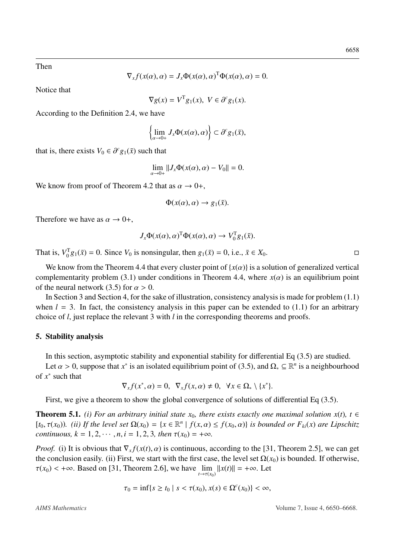Then

$$
\nabla_x f(x(\alpha), \alpha) = J_x \Phi(x(\alpha), \alpha)^T \Phi(x(\alpha), \alpha) = 0.
$$

Notice that

$$
\nabla g(x) = V^{\mathrm{T}} g_1(x), \ V \in \partial^c g_1(x).
$$

According to the Definition [2.4,](#page-3-1) we have

$$
\left\{\lim_{\alpha\to 0+} J_x \Phi(x(\alpha),\alpha)\right\} \subset \partial^c g_1(\bar{x}),
$$

that is, there exists  $V_0 \in \partial^c g_1(\bar{x})$  such that

$$
\lim_{\alpha \to 0+} ||J_x \Phi(x(\alpha), \alpha) - V_0|| = 0.
$$

We know from proof of Theorem [4.2](#page-6-2) that as  $\alpha \rightarrow 0^{+}$ ,

$$
\Phi(x(\alpha),\alpha) \to g_1(\bar{x}).
$$

Therefore we have as  $\alpha \rightarrow 0+$ .

$$
J_x \Phi(x(\alpha), \alpha)^{\mathrm{T}} \Phi(x(\alpha), \alpha) \to V_0^{\mathrm{T}} g_1(\bar{x}).
$$

That is,  $V_0^T$  $G_{0}^{T}g_{1}(\bar{x}) = 0$ . Since *V*<sub>0</sub> is nonsingular, then *g*<sub>1</sub>( $\bar{x}$ ) = 0, i.e.,  $\bar{x} \in X_{0}$ . □

We know from the Theorem [4.4](#page-7-0) that every cluster point of  $\{x(\alpha)\}\$ is a solution of generalized vertical complementarity problem [\(3.1\)](#page-4-2) under conditions in Theorem [4.4,](#page-7-0) where  $x(\alpha)$  is an equilibrium point of the neural network [\(3.5\)](#page-4-1) for  $\alpha > 0$ .

In Section 3 and Section 4, for the sake of illustration, consistency analysis is made for problem [\(1.1\)](#page-0-0) when  $l = 3$ . In fact, the consistency analysis in this paper can be extended to  $(1.1)$  for an arbitrary choice of *l*, just replace the relevant 3 with *l* in the corresponding theorems and proofs.

#### 5. Stability analysis

In this section, asymptotic stability and exponential stability for differential Eq [\(3.5\)](#page-4-1) are studied.

Let  $\alpha > 0$ , suppose that  $x^*$  is an isolated equilibrium point of [\(3.5\)](#page-4-1), and  $\Omega_* \subseteq \mathbb{R}^n$  is a neighbourhood  $x^*$  such that of *x* ∗ such that

$$
\nabla_x f(x^*, \alpha) = 0, \ \nabla_x f(x, \alpha) \neq 0, \ \forall x \in \Omega_* \setminus \{x^*\}.
$$

First, we give a theorem to show the global convergence of solutions of differential Eq [\(3.5\)](#page-4-1).

**Theorem 5.1.** *(i) For an arbitrary initial state*  $x_0$ *, there exists exactly one maximal solution*  $x(t)$ *,*  $t \in$  $[t_0, \tau(x_0))$ . (*ii*) If the level set  $\Omega(x_0) = \{x \in \mathbb{R}^n \mid f(x, \alpha) \le f(x_0, \alpha)\}$  is bounded or  $F_{ki}(x)$  are Lipschitz continuous  $k = 1, 2, ..., n, i = 1, 2, 3$ , then  $\tau(x_0) = +\infty$ *continuous, k* = 1, 2, · · · *, n, i* = 1, 2, 3*, then*  $\tau(x_0) = +\infty$ *.* 

*Proof.* (i) It is obvious that  $\nabla_x f(x(t), \alpha)$  is continuous, according to the [\[31,](#page-17-2) Theorem 2.5], we can get the conclusion easily (ii) First, we start with the first case, the level set  $O(x_0)$  is bounded. If otherwise the conclusion easily. (ii) First, we start with the first case, the level set  $\Omega(x_0)$  is bounded. If otherwise,  $\tau(x_0) < +\infty$ . Based on [\[31,](#page-17-2) Theorem 2.6], we have  $\lim_{t \to \tau(x_0)}$  $||x(t)|| = +∞. Let$ 

$$
\tau_0 = \inf\{s \ge t_0 \mid s < \tau(x_0), x(s) \in \Omega^c(x_0)\} < \infty
$$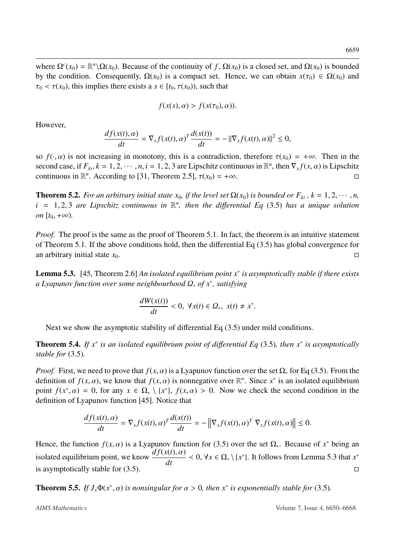where  $\Omega^c(x_0) = \mathbb{R}^n \setminus \Omega(x_0)$ . Because of the continuity of *f*,  $\Omega(x_0)$  is a closed set, and  $\Omega(x_0)$  is bounded by the condition. Consequently,  $\Omega(x_0)$  is a compact set. Hence, we can obtain  $x(\tau_0) \in \Omega(x_0)$  and  $\tau_0 < \tau(x_0)$ , this implies there exists a  $s \in [t_0, \tau(x_0))$ , such that

$$
f(x(s),\alpha) > f(x(\tau_0),\alpha)).
$$

However,

$$
\frac{df(x(t),\alpha)}{dt} = \nabla_x f(x(t),\alpha)^T \frac{d(x(t))}{dt} = -\|\nabla_x f(x(t),\alpha)\|^2 \le 0,
$$

so  $f(\cdot, \alpha)$  is not increasing in monotony, this is a contradiction, therefore  $\tau(x_0) = +\infty$ . Then in the second case, if  $F_{ki}$ ,  $k = 1, 2, \dots, n$ ,  $i = 1, 2, 3$  are Lipschitz continuous in  $\mathbb{R}^n$ , then  $\nabla_x f(x, \alpha)$  is Lipschitz continuous in  $\mathbb{R}^n$ . According to [31] Theorem 2.51  $\tau(x_0) = +\infty$ continuous in  $\mathbb{R}^n$ . According to [\[31,](#page-17-2) Theorem 2.5],  $\tau(x_0) = +\infty$ .

**Theorem 5.2.** *For an arbitrary initial state*  $x_0$ *, if the level set*  $\Omega(x_0)$  *is bounded or*  $F_{ki}$ *,*  $k = 1, 2, \cdots, n$ *,*  $i = 1, 2, 3$  *are Lipschitz continuous in*  $\mathbb{R}^n$ , *then the differential Eq* [\(3.5\)](#page-4-1) *has a unique solution*<br>  $\sin (t_1 + \infty)$ *on*  $[t_0, +\infty)$ .

*Proof.* The proof is the same as the proof of Theorem 5.1. In fact, the theorem is an intuitive statement of Theorem 5.1. If the above conditions hold, then the differential Eq [\(3.5\)](#page-4-1) has global convergence for an arbitrary initial state  $x_0$ .

<span id="page-9-0"></span>Lemma 5.3. [\[45,](#page-18-2) Theorem 2.6] *An isolated equilibrium point x*<sup>∗</sup> *is asymptotically stable if there exists a Lyapunov function over some neighbourhood* <sup>Ω</sup><sup>∗</sup> *of x*<sup>∗</sup> *, satisfying*

$$
\frac{dW(x(t))}{dt} < 0, \ \forall x(t) \in \Omega_*, \ x(t) \neq x^*.
$$

Next we show the asymptotic stability of differential Eq [\(3.5\)](#page-4-1) under mild conditions.

<span id="page-9-1"></span>**Theorem 5.4.** *If*  $x^*$  *is an isolated equilibrium point of differential Eq* [\(3.5\)](#page-4-1)*, then*  $x^*$  *is asymptotically stable for* [\(3.5\)](#page-4-1)*.*

*Proof.* First, we need to prove that  $f(x, \alpha)$  is a Lyapunov function over the set  $\Omega_*$  for Eq [\(3.5\)](#page-4-1). From the definition of  $f(x, \alpha)$ , we know that  $f(x, \alpha)$  is nonnegative over  $\mathbb{R}^n$ . Since  $x^*$  is an isolated equilibrium<br>point  $f(x^*, \alpha) = 0$ , for any  $x \in \Omega \setminus \{x^*\}$ ,  $f(x, \alpha) > 0$ . Now we check the second condition in the point  $f(x^*, \alpha) = 0$ , for any  $x \in \Omega_* \setminus \{x^*\}, f(x, \alpha) > 0$ . Now we check the second condition in the definition of Lyanunov function [45]. Notice that definition of Lyapunov function [\[45\]](#page-18-2). Notice that

$$
\frac{df(x(t),\alpha)}{dt} = \nabla_x f(x(t),\alpha)^T \frac{d(x(t))}{dt} = -\left\| \nabla_x f(x(t),\alpha)^T \nabla_x f(x(t),\alpha) \right\| \leq 0.
$$

Hence, the function *f*(*x*,  $\alpha$ ) is a Lyapunov function for [\(3.5\)](#page-4-1) over the set  $\Omega_*$ . Because of *x*<sup>\*</sup> being an *df*(*x*(*t*),  $\alpha$ ) isolated equilibrium point, we know  $\frac{df(x(t), \alpha)}{dt} < 0$ ,  $\forall x \in \Omega_* \setminus \{x^*\}$ . It follows from Lemma [5.3](#page-9-0) that  $x^*$ is asymptotically stable for  $(3.5)$ .

**Theorem 5.5.** *If*  $J_x\Phi(x^*, \alpha)$  *is nonsingular for*  $\alpha > 0$ *, then*  $x^*$  *is exponentially stable for* [\(3.5\)](#page-4-1)*.*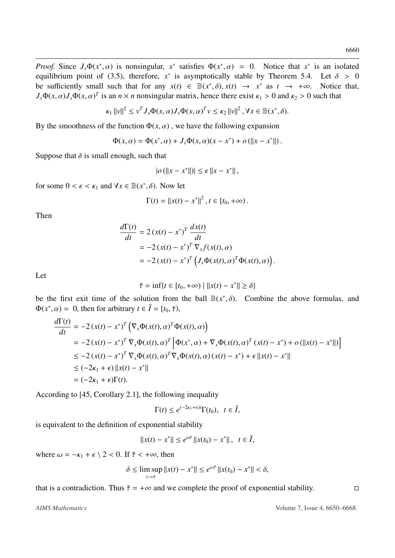*Proof.* Since  $J_x \Phi(x^*, \alpha)$  is nonsingular,  $x^*$  satisfies  $\Phi(x^*, \alpha) = 0$ . Notice that  $x^*$  is an isolated equilibrium point of (3.5), therefore,  $x^*$  is asymptotically stable by Theorem 5.4. Let  $\delta > 0$ equilibrium point of [\(3.5\)](#page-4-1), therefore,  $x^*$  is asymptotically stable by Theorem [5.4.](#page-9-1) Let  $\delta > 0$ <br>be sufficiently small such that for any  $x(t) \in \mathbb{R}(x^*, \delta)$ ,  $x(t) \to x^*$  as  $t \to +\infty$ . Notice that be sufficiently small such that for any  $x(t) \in \mathbb{B}(x^*, \delta)$ ,  $x(t) \to x^*$  as  $t \to +\infty$ . Notice that,<br>*I*  $\Phi(x, \alpha)I \Phi(x, \alpha)^T$  is an  $n \times n$  poppingular matrix hence there exist  $\kappa > 0$  and  $\kappa > 0$  such that  $J_x \Phi(x, \alpha) J_x \Phi(x, \alpha)^T$  is an  $n \times n$  nonsingular matrix, hence there exist  $\kappa_1 > 0$  and  $\kappa_2 > 0$  such that

$$
\kappa_1 ||v||^2 \le v^T J_x \Phi(x, \alpha) J_x \Phi(x, \alpha)^T v \le \kappa_2 ||v||^2, \forall x \in \mathbb{B}(x^*, \delta).
$$

By the smoothness of the function  $\Phi(x, \alpha)$ , we have the following expansion

$$
\Phi(x, \alpha) = \Phi(x^*, \alpha) + J_x \Phi(x, \alpha)(x - x^*) + o(||x - x^*||).
$$

Suppose that  $\delta$  is small enough, such that

$$
|o(||x - x^*||)| \le \epsilon ||x - x^*||,
$$

for some  $0 < \epsilon < \kappa_1$  and  $\forall x \in \mathbb{B}(x^*, \delta)$ . Now let

$$
\Gamma(t) = ||x(t) - x^*||^2, t \in [t_0, +\infty).
$$

Then

$$
\frac{d\Gamma(t)}{dt} = 2(x(t) - x^*)^T \frac{dx(t)}{dt}
$$
  
= -2(x(t) - x^\*)^T \nabla\_x f(x(t), \alpha)  
= -2(x(t) - x^\*)^T \left( J\_x \Phi(x(t), \alpha)^T \Phi(x(t), \alpha) \right).

Let

$$
\bar{\tau} = \inf\{t \in [t_0, +\infty) \mid ||x(t) - x^*|| \ge \delta\}
$$

be the first exit time of the solution from the ball  $\mathbb{B}(x^*, \delta)$ . Combine the above formulas, and  $\Phi(x^*, \alpha) = 0$  then for arbitrary  $t \in \overline{I} - [t_0, \overline{\tau})$  $\Phi(x^*, \alpha) = 0$ , then for arbitrary  $t \in \overline{I} = [t_0, \overline{\tau})$ ,

$$
\frac{d\Gamma(t)}{dt} = -2\left(x(t) - x^*\right)^T \left(\nabla_x \Phi(x(t), \alpha)^T \Phi(x(t), \alpha)\right)
$$
\n
$$
= -2\left(x(t) - x^*\right)^T \nabla_x \Phi(x(t), \alpha)^T \left[\Phi(x^*, \alpha) + \nabla_x \Phi(x(t), \alpha)^T (x(t) - x^*) + o\left(\|x(t) - x^*\|\right)\right]
$$
\n
$$
\leq -2\left(x(t) - x^*\right)^T \nabla_x \Phi(x(t), \alpha)^T \nabla_x \Phi(x(t), \alpha) (x(t) - x^*) + \epsilon \|x(t) - x^*\|
$$
\n
$$
\leq (-2\kappa_1 + \epsilon) \|x(t) - x^*\|
$$
\n
$$
= (-2\kappa_1 + \epsilon)\Gamma(t).
$$

According to [\[45,](#page-18-2) Corollary 2.1], the following inequality

$$
\Gamma(t) \leq e^{(-2\kappa_1 + \epsilon)t} \Gamma(t_0), \ \ t \in \bar{I},
$$

is equivalent to the definition of exponential stability

$$
||x(t) - x^*|| \le e^{\omega t} ||x(t_0) - x^*||
$$
,  $t \in \overline{I}$ ,

where  $\omega = -\kappa_1 + \epsilon \setminus 2 < 0$ . If  $\bar{\tau} < +\infty$ , then

$$
\delta \le \limsup_{t \to \bar{\tau}} \|x(t) - x^*\| \le e^{\omega \bar{\tau}} \|x(t_0) - x^*\| < \delta,
$$

that is a contradiction. Thus  $\bar{\tau} = +\infty$  and we complete the proof of exponential stability.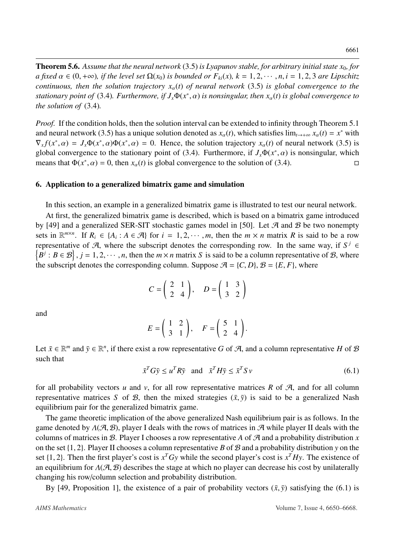**Theorem 5.6.** Assume that the neural network [\(3.5\)](#page-4-1) is Lyapunov stable, for arbitrary initial state  $x_0$ , for  $a$  fixed  $\alpha \in (0, +\infty)$ , if the level set  $\Omega(x_0)$  is bounded or  $F_{ki}(x)$ ,  $k = 1, 2, \cdots, n$ ,  $i = 1, 2, 3$  are Lipschitz *continuous, then the solution trajectory*  $x_\alpha(t)$  *of neural network* [\(3.5\)](#page-4-1) *is global convergence to the stationary point of* [\(3.4\)](#page-4-3). *Furthermore, if*  $J_x\Phi(x^*, \alpha)$  *is nonsingular, then*  $x_\alpha(t)$  *is global convergence to*<br>*the solution of* (3.4) *the solution of* [\(3.4\)](#page-4-3)*.*

*Proof.* If the condition holds, then the solution interval can be extended to infinity through Theorem 5.1 and neural network [\(3.5\)](#page-4-1) has a unique solution denoted as  $x_\alpha(t)$ , which satisfies  $\lim_{t\to+\infty} x_\alpha(t) = x^*$  with  $\nabla_x f(x^*, \alpha) = J_x \Phi(x^*, \alpha) \Phi(x^*, \alpha) = 0$ . Hence, the solution trajectory  $x_\alpha(t)$  of neural network [\(3.5\)](#page-4-1) is also convergence to the stationary point of (3.4). Eurthermore, if  $I \Phi(x^*, \alpha)$  is nonsingular which global convergence to the stationary point of [\(3.4\)](#page-4-3). Furthermore, if  $J_x\Phi(x^*, \alpha)$  is nonsingular, which means that  $\Phi(x^*, \alpha) = 0$  then  $x(t)$  is alobal convergence to the solution of (3.4) means that  $\Phi(x^*, \alpha) = 0$ , then  $x_\alpha(t)$  is global convergence to the solution of [\(3.4\)](#page-4-3).

### 6. Application to a generalized bimatrix game and simulation

In this section, an example in a generalized bimatrix game is illustrated to test our neural network.

At first, the generalized bimatrix game is described, which is based on a bimatrix game introduced by [\[49\]](#page-18-6) and a generalized SER-SIT stochastic games model in [\[50\]](#page-18-7). Let  $\mathcal A$  and  $\mathcal B$  be two nonempty sets in  $\mathbb{R}^{m \times n}$ . If  $R_i \in \{A_i : A \in \mathcal{A}\}$  for  $i = 1, 2, \dots, m$ , then the  $m \times n$  matrix *R* is said to be a row<br>representative of  $\mathcal{A}$ , where the subscript denotes the corresponding row. In the same way if  $S_i \subseteq$ representative of A, where the subscript denotes the corresponding row. In the same way, if  $S^j$  ∈  $\{B^j : B \in \mathcal{B}\}\$ ,  $j = 1, 2, \dots, n$ , then the  $m \times n$  matrix *S* is said to be a column representative of *B*, where the subscript denotes the corresponding column. Suppose  $\mathcal{A} - \{C, D\}$ ,  $\mathcal{B} - \{F, F\}$ , where the subscript denotes the corresponding column. Suppose  $\mathcal{A} = \{C, D\}, \mathcal{B} = \{E, F\}$ , where

$$
C = \begin{pmatrix} 2 & 1 \\ 2 & 4 \end{pmatrix}, \quad D = \begin{pmatrix} 1 & 3 \\ 3 & 2 \end{pmatrix}
$$

and

$$
E = \begin{pmatrix} 1 & 2 \\ 3 & 1 \end{pmatrix}, \quad F = \begin{pmatrix} 5 & 1 \\ 2 & 4 \end{pmatrix}.
$$

Let  $\bar{x} \in \mathbb{R}^m$  and  $\bar{y} \in \mathbb{R}^n$ , if there exist a row representative *G* of *A*, and a column representative *H* of *B* such that

<span id="page-11-0"></span>
$$
\bar{x}^T G \bar{y} \le u^T R \bar{y} \quad \text{and} \quad \bar{x}^T H \bar{y} \le \bar{x}^T S v \tag{6.1}
$$

for all probability vectors  $u$  and  $v$ , for all row representative matrices  $R$  of  $H$ , and for all column representative matrices *S* of *B*, then the mixed strategies  $(\bar{x}, \bar{y})$  is said to be a generalized Nash equilibrium pair for the generalized bimatrix game.

The game theoretic implication of the above generalized Nash equilibrium pair is as follows. In the game denoted by  $\Lambda(\mathcal{A}, \mathcal{B})$ , player I deals with the rows of matrices in  $\mathcal{A}$  while player II deals with the columns of matrices in B. Player I chooses a row representative A of  $\mathcal A$  and a probability distribution  $x$ on the set {1, <sup>2</sup>}. Player II chooses a column representative *<sup>B</sup>* of <sup>B</sup> and a probability distribution *<sup>y</sup>* on the set  $\{1, 2\}$ . Then the first player's cost is  $x^T G y$  while the second player's cost is  $x^T H y$ . The existence of an equilibrium for  $\Lambda(\mathcal{A}, \mathcal{B})$  describes the stage at which no player can decrease his cost by unilaterally changing his row/column selection and probability distribution.

By [\[49,](#page-18-6) Proposition 1], the existence of a pair of probability vectors  $(\bar{x}, \bar{y})$  satisfying the [\(6.1\)](#page-11-0) is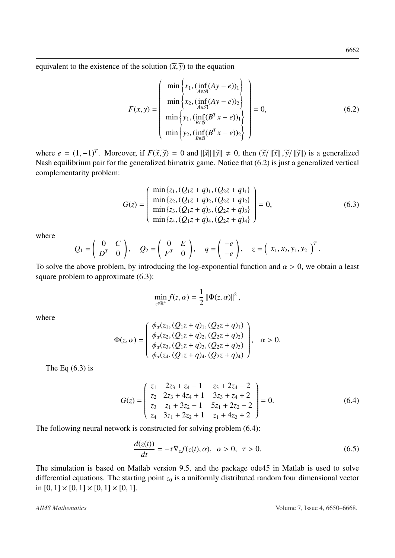equivalent to the existence of the solution  $(\widetilde{x}, \widetilde{y})$  to the equation

<span id="page-12-0"></span>
$$
F(x,y) = \begin{pmatrix} \min \left\{ x_1, (\inf_{A \in \mathcal{A}} (Ay - e))_1 \right\} \\ \min \left\{ x_2, (\inf_{A \in \mathcal{A}} (Ay - e))_2 \right\} \\ \min \left\{ y_1, (\inf_{B \in \mathcal{B}} (B^T x - e))_1 \right\} \\ \min \left\{ y_2, (\inf_{B \in \mathcal{B}} (B^T x - e))_2 \right\} \end{pmatrix} = 0,
$$
 (6.2)

where  $e = (1, -1)^T$ . Moreover, if  $F(\tilde{x}, \tilde{y}) = 0$  and  $||\tilde{x}|| ||\tilde{y}|| \neq 0$ , then  $(\tilde{x}/||\tilde{x}||, \tilde{y}/||\tilde{y}||)$  is a generalized  $\tilde{y}$ .<br>Nother equilibrium pair for the generalized bimatrix game. Notice that (6.2) is Nash equilibrium pair for the generalized bimatrix game. Notice that [\(6.2\)](#page-12-0) is just a generalized vertical complementarity problem:

<span id="page-12-1"></span>
$$
G(z) = \begin{pmatrix} \min \{z_1, (Q_1 z + q)_1, (Q_2 z + q)_1\} \\ \min \{z_2, (Q_1 z + q)_2, (Q_2 z + q)_2\} \\ \min \{z_3, (Q_1 z + q)_3, (Q_2 z + q)_3\} \\ \min \{z_4, (Q_1 z + q)_4, (Q_2 z + q)_4\} \end{pmatrix} = 0,
$$
 (6.3)

where

$$
Q_1=\begin{pmatrix}0&C\\D^T&0\end{pmatrix},\quad Q_2=\begin{pmatrix}0&E\\F^T&0\end{pmatrix},\quad q=\begin{pmatrix}-e\\-e\end{pmatrix},\quad z=\begin{pmatrix}x_1,x_2,y_1,y_2\end{pmatrix}^T.
$$

To solve the above problem, by introducing the log-exponential function and  $\alpha > 0$ , we obtain a least square problem to approximate [\(6.3\)](#page-12-1):

$$
\min_{z \in \mathbb{R}^4} f(z, \alpha) = \frac{1}{2} ||\Phi(z, \alpha)||^2,
$$

where

$$
\Phi(z,\alpha) = \begin{pmatrix} \phi_{\alpha}(z_1, (Q_1z+q)_1, (Q_2z+q)_1) \\ \phi_{\alpha}(z_2, (Q_1z+q)_2, (Q_2z+q)_2) \\ \phi_{\alpha}(z_3, (Q_1z+q)_3, (Q_2z+q)_3) \\ \phi_{\alpha}(z_4, (Q_1z+q)_4, (Q_2z+q)_4) \end{pmatrix}, \quad \alpha > 0.
$$

The Eq  $(6.3)$  is

<span id="page-12-2"></span>
$$
G(z) = \begin{pmatrix} z_1 & 2z_3 + z_4 - 1 & z_3 + 2z_4 - 2 \\ z_2 & 2z_3 + 4z_4 + 1 & 3z_3 + z_4 + 2 \\ z_3 & z_1 + 3z_2 - 1 & 5z_1 + 2z_2 - 2 \\ z_4 & 3z_1 + 2z_2 + 1 & z_1 + 4z_2 + 2 \end{pmatrix} = 0.
$$
 (6.4)

The following neural network is constructed for solving problem [\(6.4\)](#page-12-2):

<span id="page-12-3"></span>
$$
\frac{d(z(t))}{dt} = -\tau \nabla_z f(z(t), \alpha), \ \alpha > 0, \ \tau > 0.
$$
\n(6.5)

The simulation is based on Matlab version 9.5, and the package ode45 in Matlab is used to solve differential equations. The starting point  $z_0$  is a uniformly distributed random four dimensional vector in  $[0, 1] \times [0, 1] \times [0, 1] \times [0, 1]$ .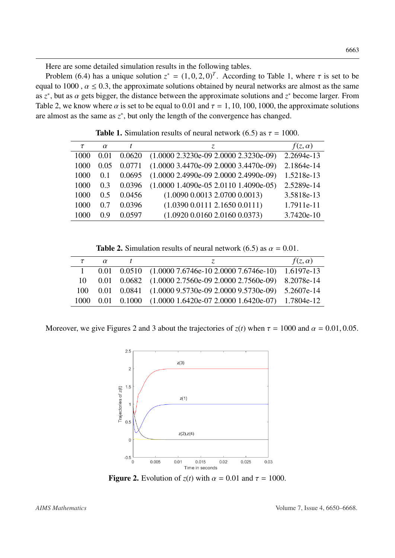Here are some detailed simulation results in the following tables.

Problem [\(6.4\)](#page-12-2) has a unique solution  $z^* = (1, 0, 2, 0)^T$ . According to Table 1, where  $\tau$  is set to be part to 1000  $\alpha \le 0.3$  the approximate solutions obtained by peural networks are almost as the same equal to 1000,  $\alpha \le 0.3$ , the approximate solutions obtained by neural networks are almost as the same as *z*<sup>\*</sup>, but as  $\alpha$  gets bigger, the distance between the approximate solutions and *z*<sup>\*</sup> become larger. From<br>Table 2, we know where  $\alpha$  is set to be equal to 0.01 and  $\tau = 1,10,100,1000$ , the approximate solutions Table 2, we know where  $\alpha$  is set to be equal to 0.01 and  $\tau = 1, 10, 100, 1000$ , the approximate solutions are almost as the same as  $z^*$ , but only the length of the convergence has changed.

| $\tau$ | $\alpha$ | t      | $Z_{\cdot}$                             | $f(z,\alpha)$ |
|--------|----------|--------|-----------------------------------------|---------------|
| 1000   | 0.01     | 0.0620 | $(1.0000 2.3230e-09 2.0000 2.3230e-09)$ | 2.2694e-13    |
| 1000   | 0.05     | 0.0771 | $(1.00003.4470e-092.00003.4470e-09)$    | 2.1864e-14    |
| 1000   | 0.1      | 0.0695 | $(1.0000 2.4990e-09 2.0000 2.4990e-09)$ | 1.5218e-13    |
| 1000   | 0.3      | 0.0396 | $(1.0000 1.4090e-05 2.0110 1.4090e-05)$ | 2.5289e-14    |
| 1000   | 0.5      | 0.0456 | $(1.0090\ 0.0013\ 2.0700\ 0.0013)$      | 3.5818e-13    |
| 1000   | 0.7      | 0.0396 | $(1.0390\ 0.0111\ 2.1650\ 0.0111)$      | 1.7911e-11    |
| 1000   | 0.9      | 0.0597 | $(1.0920\ 0.0160\ 2.0160\ 0.0373)$      | 3.7420e-10    |

**Table 1.** Simulation results of neural network [\(6.5\)](#page-12-3) as  $\tau = 1000$ .

**Table 2.** Simulation results of neural network [\(6.5\)](#page-12-3) as  $\alpha = 0.01$ .

| $\tau$ | $\alpha$ | 7.                                                                | $f(z,\alpha)$ |
|--------|----------|-------------------------------------------------------------------|---------------|
|        |          | $0.01$ $0.0510$ $(1.00007.6746e-102.00007.6746e-10)$ $1.6197e-13$ |               |
|        |          | 10 0.01 0.0682 (1.0000 2.7560e-09 2.0000 2.7560e-09) 8.2078e-14   |               |
|        |          | 100 0.01 0.0841 (1.0000 9.5730e-09 2.0000 9.5730e-09) 5.2607e-14  |               |
|        |          | 1000 0.01 0.1000 (1.0000 1.6420e-07 2.0000 1.6420e-07) 1.7804e-12 |               |

Moreover, we give Figures 2 and 3 about the trajectories of  $z(t)$  when  $\tau = 1000$  and  $\alpha = 0.01, 0.05$ .



Figure 2. Evolution of  $z(t)$  with  $\alpha = 0.01$  and  $\tau = 1000$ .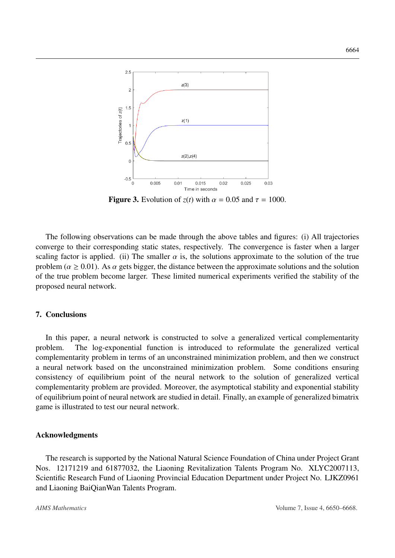

Figure 3. Evolution of  $z(t)$  with  $\alpha = 0.05$  and  $\tau = 1000$ .

The following observations can be made through the above tables and figures: (i) All trajectories converge to their corresponding static states, respectively. The convergence is faster when a larger scaling factor is applied. (ii) The smaller  $\alpha$  is, the solutions approximate to the solution of the true problem ( $\alpha \ge 0.01$ ). As  $\alpha$  gets bigger, the distance between the approximate solutions and the solution of the true problem become larger. These limited numerical experiments verified the stability of the proposed neural network.

#### 7. Conclusions

In this paper, a neural network is constructed to solve a generalized vertical complementarity problem. The log-exponential function is introduced to reformulate the generalized vertical complementarity problem in terms of an unconstrained minimization problem, and then we construct a neural network based on the unconstrained minimization problem. Some conditions ensuring consistency of equilibrium point of the neural network to the solution of generalized vertical complementarity problem are provided. Moreover, the asymptotical stability and exponential stability of equilibrium point of neural network are studied in detail. Finally, an example of generalized bimatrix game is illustrated to test our neural network.

#### Acknowledgments

The research is supported by the National Natural Science Foundation of China under Project Grant Nos. 12171219 and 61877032, the Liaoning Revitalization Talents Program No. XLYC2007113, Scientific Research Fund of Liaoning Provincial Education Department under Project No. LJKZ0961 and Liaoning BaiQianWan Talents Program.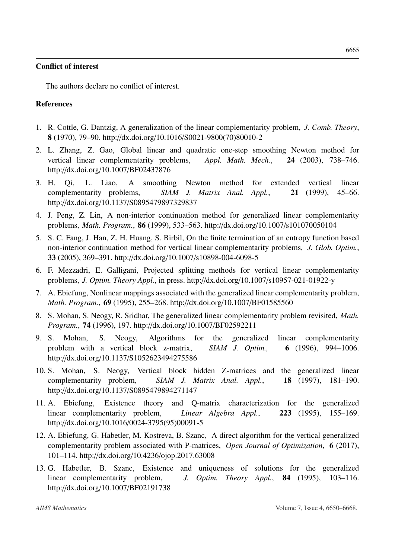# Conflict of interest

The authors declare no conflict of interest.

# References

- <span id="page-15-0"></span>1. R. Cottle, G. Dantzig, A generalization of the linear complementarity problem, *J. Comb. Theory*, 8 (1970), 79–90. http://dx.doi.org/10.1016/[S0021-9800\(70\)80010-2](http://dx.doi.org/http://dx.doi.org/10.1016/S0021-9800(70)80010-2)
- <span id="page-15-1"></span>2. L. Zhang, Z. Gao, Global linear and quadratic one-step smoothing Newton method for vertical linear complementarity problems, *Appl. Math. Mech.*, 24 (2003), 738–746. http://dx.doi.org/10.1007/[BF02437876](http://dx.doi.org/http://dx.doi.org/10.1007/BF02437876)
- <span id="page-15-2"></span>3. H. Qi, L. Liao, A smoothing Newton method for extended vertical linear complementarity problems, *SIAM J. Matrix Anal. Appl.*, 21 (1999), 45–66. http://dx.doi.org/10.1137/[S0895479897329837](http://dx.doi.org/http://dx.doi.org/10.1137/S0895479897329837)
- <span id="page-15-3"></span>4. J. Peng, Z. Lin, A non-interior continuation method for generalized linear complementarity problems, *Math. Program.*, 86 (1999), 533–563. http://dx.doi.org/10.1007/[s101070050104](http://dx.doi.org/http://dx.doi.org/10.1007/s101070050104)
- <span id="page-15-4"></span>5. S. C. Fang, J. Han, Z. H. Huang, S. Birbil, On the finite termination of an entropy function based non-interior continuation method for vertical linear complementarity problems, *J. Glob. Optim.*, 33 (2005), 369–391. http://dx.doi.org/10.1007/[s10898-004-6098-5](http://dx.doi.org/http://dx.doi.org/10.1007/s10898-004-6098-5)
- <span id="page-15-5"></span>6. F. Mezzadri, E. Galligani, Projected splitting methods for vertical linear complementarity problems, *J. Optim. Theory Appl.*, in press. http://dx.doi.org/10.1007/[s10957-021-01922-y](http://dx.doi.org/http://dx.doi.org/10.1007/s10957-021-01922-y)
- <span id="page-15-6"></span>7. A. Ebiefung, Nonlinear mappings associated with the generalized linear complementarity problem, *Math. Program.*, 69 (1995), 255–268. http://dx.doi.org/10.1007/[BF01585560](http://dx.doi.org/http://dx.doi.org/10.1007/BF01585560)
- 8. S. Mohan, S. Neogy, R. Sridhar, The generalized linear complementarity problem revisited, *Math. Program.*, 74 (1996), 197. http://dx.doi.org/10.1007/[BF02592211](http://dx.doi.org/http://dx.doi.org/10.1007/BF02592211)
- 9. S. Mohan, S. Neogy, Algorithms for the generalized linear complementarity problem with a vertical block z-matrix, *SIAM J. Optim.,* 6 (1996), 994–1006. http://dx.doi.org/10.1137/[S1052623494275586](http://dx.doi.org/http://dx.doi.org/10.1137/S1052623494275586)
- <span id="page-15-7"></span>10. S. Mohan, S. Neogy, Vertical block hidden Z-matrices and the generalized linear complementarity problem, *SIAM J. Matrix Anal. Appl.*, **18** (1997), 181–190. http://dx.doi.org/10.1137/[S0895479894271147](http://dx.doi.org/http://dx.doi.org/10.1137/S0895479894271147)
- <span id="page-15-8"></span>11. A. Ebiefung, Existence theory and Q-matrix characterization for the generalized linear complementarity problem, *Linear Algebra Appl.*, 223 (1995), 155–169. http://dx.doi.org/10.1016/[0024-3795\(95\)00091-5](http://dx.doi.org/http://dx.doi.org/10.1016/0024-3795(95)00091-5)
- 12. A. Ebiefung, G. Habetler, M. Kostreva, B. Szanc, A direct algorithm for the vertical generalized complementarity problem associated with P-matrices, *Open Journal of Optimization*, 6 (2017), 101–114. http://dx.doi.org/10.4236/[ojop.2017.63008](http://dx.doi.org/http://dx.doi.org/10.4236/ojop.2017.63008)
- 13. G. Habetler, B. Szanc, Existence and uniqueness of solutions for the generalized linear complementarity problem, *J. Optim. Theory Appl.*, 84 (1995), 103–116. http://dx.doi.org/10.1007/[BF02191738](http://dx.doi.org/http://dx.doi.org/10.1007/BF02191738)

6665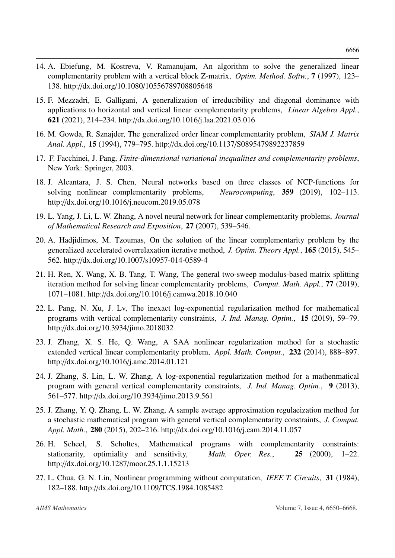- 14. A. Ebiefung, M. Kostreva, V. Ramanujam, An algorithm to solve the generalized linear complementarity problem with a vertical block Z-matrix, *Optim. Method. Softw.*, 7 (1997), 123– 138. http://dx.doi.org/10.1080/[10556789708805648](http://dx.doi.org/http://dx.doi.org/10.1080/10556789708805648)
- 15. F. Mezzadri, E. Galligani, A generalization of irreducibility and diagonal dominance with applications to horizontal and vertical linear complementarity problems, *Linear Algebra Appl.*, 621 (2021), 214–234. http://dx.doi.org/10.1016/[j.laa.2021.03.016](http://dx.doi.org/http://dx.doi.org/10.1016/j.laa.2021.03.016)
- <span id="page-16-0"></span>16. M. Gowda, R. Sznajder, The generalized order linear complementarity problem, *SIAM J. Matrix Anal. Appl.*, 15 (1994), 779–795. http://dx.doi.org/10.1137/[S0895479892237859](http://dx.doi.org/http://dx.doi.org/10.1137/S0895479892237859)
- <span id="page-16-1"></span>17. F. Facchinei, J. Pang, *Finite-dimensional variational inequalities and complementarity problems*, New York: Springer, 2003.
- <span id="page-16-2"></span>18. J. Alcantara, J. S. Chen, Neural networks based on three classes of NCP-functions for solving nonlinear complementarity problems, *Neurocomputing*, 359 (2019), 102–113. http://dx.doi.org/10.1016/[j.neucom.2019.05.078](http://dx.doi.org/http://dx.doi.org/10.1016/j.neucom.2019.05.078)
- <span id="page-16-3"></span>19. L. Yang, J. Li, L. W. Zhang, A novel neural network for linear complementarity problems, *Journal of Mathematical Research and Exposition*, 27 (2007), 539–546.
- <span id="page-16-5"></span>20. A. Hadjidimos, M. Tzoumas, On the solution of the linear complementarity problem by the generalized accelerated overrelaxation iterative method, *J. Optim. Theory Appl.*, 165 (2015), 545– 562. http://dx.doi.org/10.1007/[s10957-014-0589-4](http://dx.doi.org/http://dx.doi.org/10.1007/s10957-014-0589-4)
- <span id="page-16-4"></span>21. H. Ren, X. Wang, X. B. Tang, T. Wang, The general two-sweep modulus-based matrix splitting iteration method for solving linear complementarity problems, *Comput. Math. Appl.*, 77 (2019), 1071–1081. http://dx.doi.org/10.1016/[j.camwa.2018.10.040](http://dx.doi.org/http://dx.doi.org/10.1016/j.camwa.2018.10.040)
- <span id="page-16-6"></span>22. L. Pang, N. Xu, J. Lv, The inexact log-exponential regularization method for mathematical programs with vertical complementarity constraints, *J. Ind. Manag. Optim.*, 15 (2019), 59–79. http://dx.doi.org/10.3934/[jimo.2018032](http://dx.doi.org/http://dx.doi.org/10.3934/jimo.2018032)
- 23. J. Zhang, X. S. He, Q. Wang, A SAA nonlinear regularization method for a stochastic extended vertical linear complementarity problem, *Appl. Math. Comput.*, 232 (2014), 888–897. http://dx.doi.org/10.1016/[j.amc.2014.01.121](http://dx.doi.org/http://dx.doi.org/10.1016/j.amc.2014.01.121)
- <span id="page-16-10"></span>24. J. Zhang, S. Lin, L. W. Zhang, A log-exponential regularization method for a mathenmatical program with general vertical complementarity constraints, *J. Ind. Manag. Optim.*, 9 (2013), 561–577. http://dx.doi.org/10.3934/[jimo.2013.9.561](http://dx.doi.org/http://dx.doi.org/10.3934/jimo.2013.9.561)
- <span id="page-16-7"></span>25. J. Zhang, Y. Q. Zhang, L. W. Zhang, A sample average approximation regulaeization method for a stochastic mathematical program with general vertical complementarity constraints, *J. Comput. Appl. Math.*, 280 (2015), 202–216. http://dx.doi.org/10.1016/[j.cam.2014.11.057](http://dx.doi.org/http://dx.doi.org/10.1016/j.cam.2014.11.057)
- <span id="page-16-8"></span>26. H. Scheel, S. Scholtes, Mathematical programs with complementarity constraints: stationarity, optimiality and sensitivity, *Math. Oper. Res.*, 25 (2000), 1–22. http://dx.doi.org/10.1287/[moor.25.1.1.15213](http://dx.doi.org/http://dx.doi.org/10.1287/moor.25.1.1.15213)
- <span id="page-16-9"></span>27. L. Chua, G. N. Lin, Nonlinear programming without computation, *IEEE T. Circuits*, 31 (1984), 182–188. http://dx.doi.org/10.1109/[TCS.1984.1085482](http://dx.doi.org/http://dx.doi.org/10.1109/TCS.1984.1085482)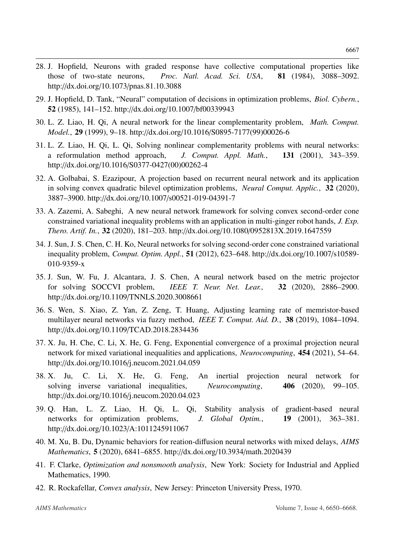- 28. J. Hopfield, Neurons with graded response have collective computational properties like those of two-state neurons, *Proc. Natl. Acad. Sci. USA*, 81 (1984), 3088–3092. http://dx.doi.org/10.1073/[pnas.81.10.3088](http://dx.doi.org/http://dx.doi.org/10.1073/pnas.81.10.3088)
- <span id="page-17-0"></span>29. J. Hopfield, D. Tank, "Neural" computation of decisions in optimization problems, *Biol. Cybern.*, 52 (1985), 141–152. http://dx.doi.org/10.1007/[bf00339943](http://dx.doi.org/http://dx.doi.org/10.1007/bf00339943)
- <span id="page-17-1"></span>30. L. Z. Liao, H. Qi, A neural network for the linear complementarity problem, *Math. Comput. Model.*, 29 (1999), 9–18. http://dx.doi.org/10.1016/[S0895-7177\(99\)00026-6](http://dx.doi.org/http://dx.doi.org/10.1016/S0895-7177(99)00026-6)
- <span id="page-17-2"></span>31. L. Z. Liao, H. Qi, L. Qi, Solving nonlinear complementarity problems with neural networks: a reformulation method approach, *J. Comput. Appl. Math.*, 131 (2001), 343–359. http://dx.doi.org/10.1016/[S0377-0427\(00\)00262-4](http://dx.doi.org/http://dx.doi.org/10.1016/S0377-0427(00)00262-4)
- <span id="page-17-3"></span>32. A. Golbabai, S. Ezazipour, A projection based on recurrent neural network and its application in solving convex quadratic bilevel optimization problems, *Neural Comput. Applic.*, 32 (2020), 3887–3900. http://dx.doi.org/10.1007/[s00521-019-04391-7](http://dx.doi.org/http://dx.doi.org/10.1007/s00521-019-04391-7)
- 33. A. Zazemi, A. Sabeghi, A new neural network framework for solving convex second-order cone constrained variational inequality problems with an application in multi-ginger robot hands, *J. Exp. Thero. Artif. In.*, 32 (2020), 181–203. http://dx.doi.org/10.1080/[0952813X.2019.1647559](http://dx.doi.org/http://dx.doi.org/10.1080/0952813X.2019.1647559)
- 34. J. Sun, J. S. Chen, C. H. Ko, Neural networks for solving second-order cone constrained variational inequality problem, *Comput. Optim. Appl.*, 51 (2012), 623–648. http://[dx.doi.org](http://dx.doi.org/http://dx.doi.org/10.1007/s10589-010-9359-x)/10.1007/s10589- [010-9359-x](http://dx.doi.org/http://dx.doi.org/10.1007/s10589-010-9359-x)
- 35. J. Sun, W. Fu, J. Alcantara, J. S. Chen, A neural network based on the metric projector for solving SOCCVI problem, *IEEE T. Neur. Net. Lear.*, 32 (2020), 2886–2900. http://dx.doi.org/10.1109/[TNNLS.2020.3008661](http://dx.doi.org/http://dx.doi.org/10.1109/TNNLS.2020.3008661)
- 36. S. Wen, S. Xiao, Z. Yan, Z. Zeng, T. Huang, Adjusting learning rate of memristor-based multilayer neural networks via fuzzy method, *IEEE T. Comput. Aid. D.*, 38 (2019), 1084–1094. http://dx.doi.org/10.1109/[TCAD.2018.2834436](http://dx.doi.org/http://dx.doi.org/10.1109/TCAD.2018.2834436)
- 37. X. Ju, H. Che, C. Li, X. He, G. Feng, Exponential convergence of a proximal projection neural network for mixed variational inequalities and applications, *Neurocomputing*, 454 (2021), 54–64. http://dx.doi.org/10.1016/[j.neucom.2021.04.059](http://dx.doi.org/http://dx.doi.org/10.1016/j.neucom.2021.04.059)
- 38. X. Ju, C. Li, X. He, G. Feng, An inertial projection neural network for solving inverse variational inequalities, *Neurocomputing*, 406 (2020), 99–105. http://dx.doi.org/10.1016/[j.neucom.2020.04.023](http://dx.doi.org/http://dx.doi.org/10.1016/j.neucom.2020.04.023)
- 39. Q. Han, L. Z. Liao, H. Qi, L. Qi, Stability analysis of gradient-based neural networks for optimization problems, *J. Global Optim.*, 19 (2001), 363–381. http://dx.doi.org/10.1023/[A:1011245911067](http://dx.doi.org/http://dx.doi.org/10.1023/A:1011245911067)
- <span id="page-17-4"></span>40. M. Xu, B. Du, Dynamic behaviors for reation-diffusion neural networks with mixed delays, *AIMS Mathematics*, 5 (2020), 6841–6855. http://dx.doi.org/10.3934/[math.2020439](http://dx.doi.org/http://dx.doi.org/10.3934/math.2020439)
- <span id="page-17-5"></span>41. F. Clarke, *Optimization and nonsmooth analysis*, New York: Society for Industrial and Applied Mathematics, 1990.
- <span id="page-17-6"></span>42. R. Rockafellar, *Convex analysis*, New Jersey: Princeton University Press, 1970.